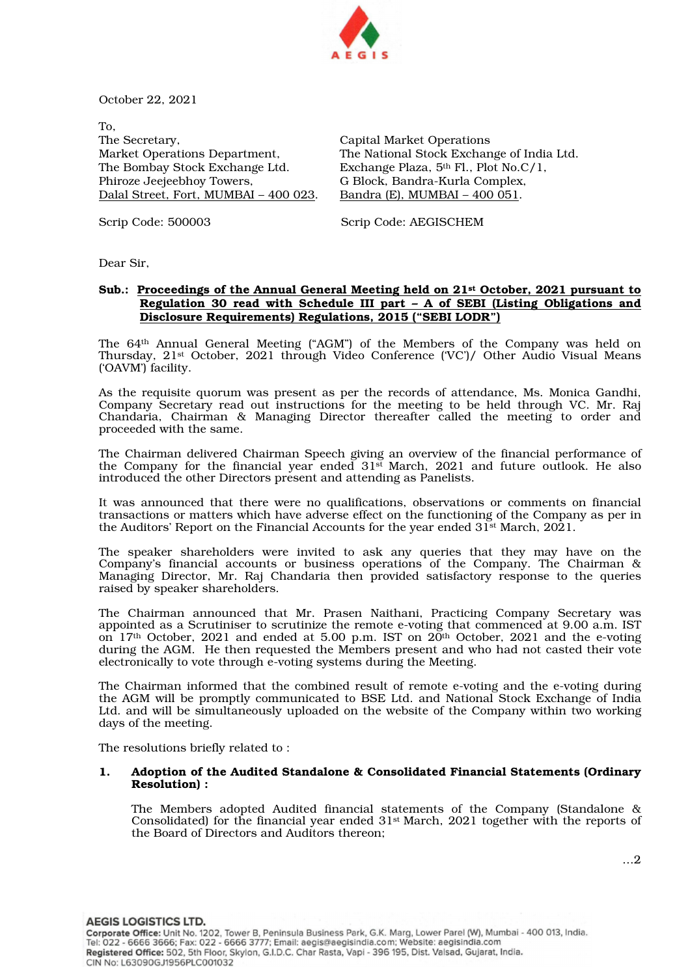

October 22, 2021

To, The Secretary, Market Operations Department, The Bombay Stock Exchange Ltd. Phiroze Jeejeebhoy Towers, Dalal Street, Fort, MUMBAI – 400 023.

Capital Market Operations The National Stock Exchange of India Ltd. Exchange Plaza, 5th Fl., Plot No.C/1, G Block, Bandra-Kurla Complex, Bandra (E), MUMBAI – 400 051.

Scrip Code: 500003 Scrip Code: AEGISCHEM

Dear Sir,

# Sub.: Proceedings of the Annual General Meeting held on 21<sup>st</sup> October, 2021 pursuant to Regulation 30 read with Schedule III part – A of SEBI (Listing Obligations and Disclosure Requirements) Regulations, 2015 ("SEBI LODR")

The 64th Annual General Meeting ("AGM") of the Members of the Company was held on Thursday, 21st October, 2021 through Video Conference ('VC')/ Other Audio Visual Means ('OAVM') facility.

As the requisite quorum was present as per the records of attendance, Ms. Monica Gandhi, Company Secretary read out instructions for the meeting to be held through VC. Mr. Raj Chandaria, Chairman & Managing Director thereafter called the meeting to order and proceeded with the same.

The Chairman delivered Chairman Speech giving an overview of the financial performance of the Company for the financial year ended 31st March, 2021 and future outlook. He also introduced the other Directors present and attending as Panelists.

It was announced that there were no qualifications, observations or comments on financial transactions or matters which have adverse effect on the functioning of the Company as per in the Auditors' Report on the Financial Accounts for the year ended  $31^{st}$  March,  $2021$ .

The speaker shareholders were invited to ask any queries that they may have on the Company's financial accounts or business operations of the Company. The Chairman & Managing Director, Mr. Raj Chandaria then provided satisfactory response to the queries raised by speaker shareholders.

The Chairman announced that Mr. Prasen Naithani, Practicing Company Secretary was appointed as a Scrutiniser to scrutinize the remote e-voting that commenced at 9.00 a.m. IST on  $17<sup>th</sup>$  October, 2021 and ended at 5.00 p.m. IST on  $20<sup>th</sup>$  October, 2021 and the e-voting during the AGM. He then requested the Members present and who had not casted their vote electronically to vote through e-voting systems during the Meeting.

The Chairman informed that the combined result of remote e-voting and the e-voting during the AGM will be promptly communicated to BSE Ltd. and National Stock Exchange of India Ltd. and will be simultaneously uploaded on the website of the Company within two working days of the meeting.

The resolutions briefly related to :

### 1. Adoption of the Audited Standalone & Consolidated Financial Statements (Ordinary Resolution) :

The Members adopted Audited financial statements of the Company (Standalone & Consolidated) for the financial year ended 31st March, 2021 together with the reports of the Board of Directors and Auditors thereon;